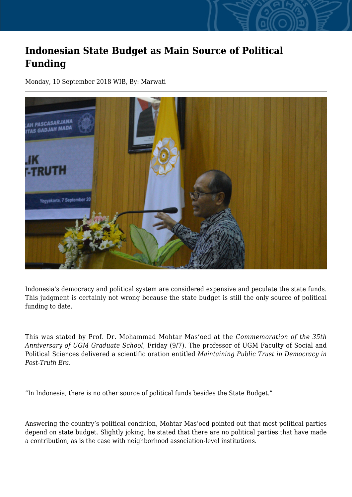## **Indonesian State Budget as Main Source of Political Funding**

Monday, 10 September 2018 WIB, By: Marwati



Indonesia's democracy and political system are considered expensive and peculate the state funds. This judgment is certainly not wrong because the state budget is still the only source of political funding to date.

This was stated by Prof. Dr. Mohammad Mohtar Mas'oed at the *Commemoration of the 35th Anniversary of UGM Graduate School*, Friday (9/7). The professor of UGM Faculty of Social and Political Sciences delivered a scientific oration entitled *Maintaining Public Trust in Democracy in Post-Truth Era*.

"In Indonesia, there is no other source of political funds besides the State Budget."

Answering the country's political condition, Mohtar Mas'oed pointed out that most political parties depend on state budget. Slightly joking, he stated that there are no political parties that have made a contribution, as is the case with neighborhood association-level institutions.